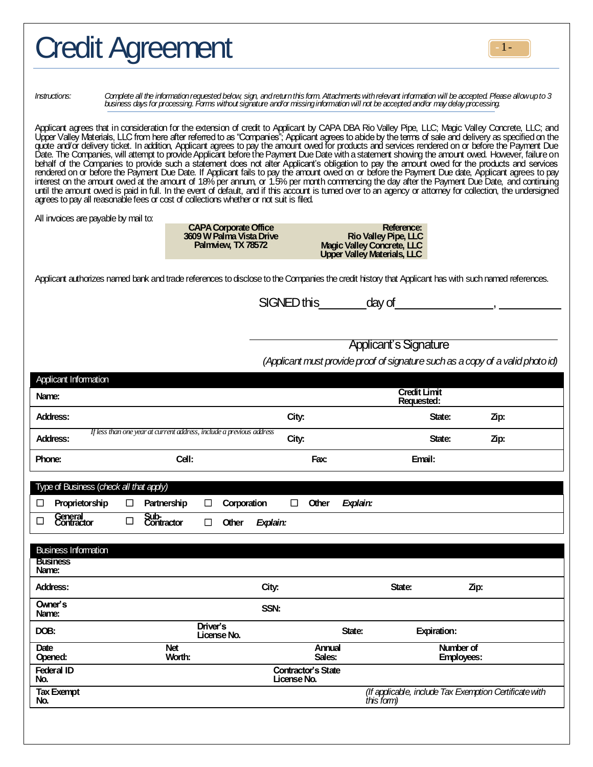|                                | <b>Credit Agreement</b>              |                                                                                                                                                                                                                                                                                                                                                                                                                                                                                                                                                                                                                                                                                                                                                                                                                                                                                                                                                                                                                                                                                                                                                                                  |       |                                                                                                 |                                   |                                                                                |
|--------------------------------|--------------------------------------|----------------------------------------------------------------------------------------------------------------------------------------------------------------------------------------------------------------------------------------------------------------------------------------------------------------------------------------------------------------------------------------------------------------------------------------------------------------------------------------------------------------------------------------------------------------------------------------------------------------------------------------------------------------------------------------------------------------------------------------------------------------------------------------------------------------------------------------------------------------------------------------------------------------------------------------------------------------------------------------------------------------------------------------------------------------------------------------------------------------------------------------------------------------------------------|-------|-------------------------------------------------------------------------------------------------|-----------------------------------|--------------------------------------------------------------------------------|
| <i>Instructions:</i>           |                                      | Complete all the information requested below, sign, and return this form. Attachments with relevant information will be accepted. Please allow up to 3<br>business days for processing. Forms without signature and/or missing information will not be accepted and/or may delay processing.                                                                                                                                                                                                                                                                                                                                                                                                                                                                                                                                                                                                                                                                                                                                                                                                                                                                                     |       |                                                                                                 |                                   |                                                                                |
|                                |                                      | Applicant agrees that in consideration for the extension of credit to Applicant by CAPA DBA Rio Valley Pipe, LLC; Magic Valley Concrete, LLC; and<br>Upper Valley Materials, LLC from here after referred to as "Companies"; Appl<br>guote and/or delivery ticket. In addition, Applicant agrees to pay the amount owed for products and services rendered on or before the Payment Due<br>Date. The Companies, will attempt to provide Applicant before the Payment Due Date with a statement showing the amount owed. However, failure on<br>behalf of the Companies to provide such a statement does not alter Applicant's obligation to pay the amount owed for the products and services<br>rendered on or before the Payment Due Date. If Applicant fails to pay the amount owed on or before the Payment Due date, Applicant agrees to pay<br>interest on the amount owed at the amount of 18% per annum, or 1.5% per month commencing the day after the Payment Due Date, and continuing<br>until the amount owed is paid in full. In the event of default, and if this accoun<br>agrees to pay all reasonable fees or cost of collections whether or not suit is filed. |       |                                                                                                 |                                   |                                                                                |
|                                | All invoices are payable by mail to: | <b>CAPA Corporate Office</b><br>3609 W Palma Vista Drive<br>Palmview, TX 78572                                                                                                                                                                                                                                                                                                                                                                                                                                                                                                                                                                                                                                                                                                                                                                                                                                                                                                                                                                                                                                                                                                   |       | Reference:<br>Rio Valley Pipe, LLC<br>Magic Valley Concrete, LLC<br>Upper Valley Materials, LLC |                                   |                                                                                |
|                                |                                      | Applicant authorizes named bank and trade references to disclose to the Companies the credit history that Applicant has with such named references.                                                                                                                                                                                                                                                                                                                                                                                                                                                                                                                                                                                                                                                                                                                                                                                                                                                                                                                                                                                                                              |       |                                                                                                 |                                   |                                                                                |
|                                |                                      |                                                                                                                                                                                                                                                                                                                                                                                                                                                                                                                                                                                                                                                                                                                                                                                                                                                                                                                                                                                                                                                                                                                                                                                  |       |                                                                                                 |                                   |                                                                                |
|                                |                                      |                                                                                                                                                                                                                                                                                                                                                                                                                                                                                                                                                                                                                                                                                                                                                                                                                                                                                                                                                                                                                                                                                                                                                                                  |       | <b>Applicant's Signature</b>                                                                    |                                   |                                                                                |
|                                |                                      |                                                                                                                                                                                                                                                                                                                                                                                                                                                                                                                                                                                                                                                                                                                                                                                                                                                                                                                                                                                                                                                                                                                                                                                  |       |                                                                                                 |                                   | (Applicant must provide proof of signature such as a copy of a valid photo id) |
| Applicant Information<br>Name: |                                      |                                                                                                                                                                                                                                                                                                                                                                                                                                                                                                                                                                                                                                                                                                                                                                                                                                                                                                                                                                                                                                                                                                                                                                                  |       |                                                                                                 | <b>Credit Limit</b><br>Requested: |                                                                                |
| Address:                       |                                      |                                                                                                                                                                                                                                                                                                                                                                                                                                                                                                                                                                                                                                                                                                                                                                                                                                                                                                                                                                                                                                                                                                                                                                                  | City: |                                                                                                 | State:                            | Zip:                                                                           |
| Address:                       |                                      | If less than one year at current address, include a previous address                                                                                                                                                                                                                                                                                                                                                                                                                                                                                                                                                                                                                                                                                                                                                                                                                                                                                                                                                                                                                                                                                                             | City: |                                                                                                 | State:                            | Zip:                                                                           |
| <b>Phone:</b>                  |                                      | Cell:                                                                                                                                                                                                                                                                                                                                                                                                                                                                                                                                                                                                                                                                                                                                                                                                                                                                                                                                                                                                                                                                                                                                                                            | Fax:  |                                                                                                 | Email:                            |                                                                                |

| Type of Business (check all that apply) |                             |        |                    |          |             |          |             |                           |          |                                                                      |                   |  |
|-----------------------------------------|-----------------------------|--------|--------------------|----------|-------------|----------|-------------|---------------------------|----------|----------------------------------------------------------------------|-------------------|--|
| □                                       | Proprietorship              | □      | Partnership        | ப        | Corporation |          | П           | <b>Other</b>              | Explain: |                                                                      |                   |  |
| □                                       | General<br>Contractor       | $\Box$ | Sub-<br>Contractor | □        | Other       | Explain: |             |                           |          |                                                                      |                   |  |
|                                         |                             |        |                    |          |             |          |             |                           |          |                                                                      |                   |  |
|                                         | <b>Business Information</b> |        |                    |          |             |          |             |                           |          |                                                                      |                   |  |
| Name:                                   | <b>Business</b>             |        |                    |          |             |          |             |                           |          |                                                                      |                   |  |
|                                         | Address:                    |        |                    |          |             | City:    |             |                           |          | State:                                                               | Zp:               |  |
| Name:                                   | Owner's                     |        |                    |          |             | SSN:     |             |                           |          |                                                                      |                   |  |
| DOB:                                    |                             |        |                    | Driver's | License No. |          |             |                           | State:   | <b>Expiration:</b>                                                   |                   |  |
| Date                                    |                             |        | <b>Net</b>         |          |             |          |             | Annual                    |          |                                                                      | Number of         |  |
|                                         | Opened:                     |        | Worth:             |          |             |          |             | Sales:                    |          |                                                                      | <b>Employees:</b> |  |
| No.                                     | <b>Federal ID</b>           |        |                    |          |             |          | License No. | <b>Contractor's State</b> |          |                                                                      |                   |  |
| No.                                     | <b>Tax Exempt</b>           |        |                    |          |             |          |             |                           |          | (If applicable, include Tax Exemption Certificate with<br>this form) |                   |  |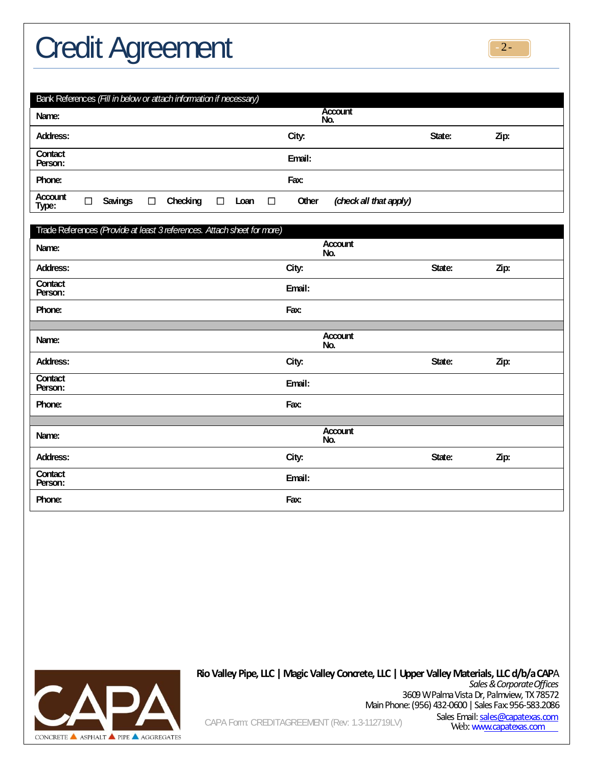# Credit Agreement



| Bank References (Fill in below or attach information if necessary) |                       |                |        |          |        |      |        |       |                        |        |      |  |
|--------------------------------------------------------------------|-----------------------|----------------|--------|----------|--------|------|--------|-------|------------------------|--------|------|--|
| Name:                                                              | <b>Account</b><br>No. |                |        |          |        |      |        |       |                        |        |      |  |
| Address:                                                           |                       |                |        |          |        |      |        | City: |                        | State: | Zip: |  |
| Contact<br>Person:                                                 | Email:                |                |        |          |        |      |        |       |                        |        |      |  |
| Phone:                                                             | Fax:                  |                |        |          |        |      |        |       |                        |        |      |  |
| Account<br>Type:                                                   | □                     | <b>Savings</b> | $\Box$ | Checking | $\Box$ | Loan | $\Box$ | Other | (check all that apply) |        |      |  |

| Trade References (Provide at least 3 references. Attach sheet for more) |        |                |        |      |
|-------------------------------------------------------------------------|--------|----------------|--------|------|
| Name:                                                                   |        | Account<br>No. |        |      |
| Address:                                                                | City:  |                | State: | Zip: |
| Contact<br>Person:                                                      | Email: |                |        |      |
| Phone:                                                                  | Fax:   |                |        |      |
|                                                                         |        |                |        |      |
| Name:                                                                   |        | Account<br>No. |        |      |
| Address:                                                                | City:  |                | State: | Zip: |
| Contact<br>Person:                                                      | Email: |                |        |      |
| Phone:                                                                  | Fax:   |                |        |      |
|                                                                         |        |                |        |      |
| Name:                                                                   |        | Account<br>No. |        |      |
| Address:                                                                | City:  |                | State: | Zip: |
| Contact<br>Person:                                                      | Email: |                |        |      |
| Phone:                                                                  | Fax:   |                |        |      |



### **RioValleyPipe, LLC|MagicValleyConcrete, LLC|UpperValleyMaterials, LLCd/b/aCAP**A *Sales & CorporateOffices*

3609 W Palma Vista Dr, Palmview, TX78572 Main Phone: (956) 432-0600 | Sales Fax:956-583.2086 Sales Email[: sales@capatexas.com](mailto:sales@capatexas.com)<br>Web: www.capatexas.com

CAPA Form: CREDITAGREEMENT (Rev: 1.3-112719LV)